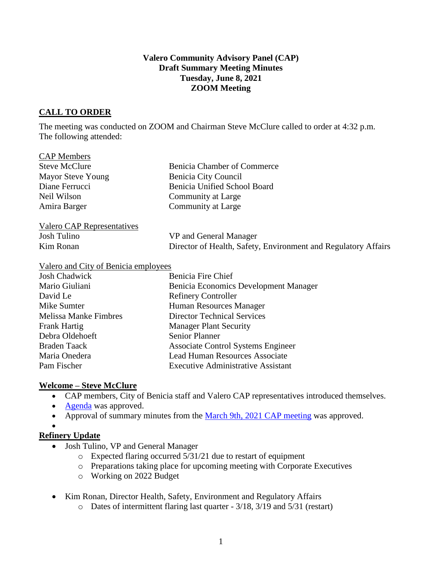#### **Valero Community Advisory Panel (CAP) Draft Summary Meeting Minutes Tuesday, June 8, 2021 ZOOM Meeting**

# **CALL TO ORDER**

The meeting was conducted on ZOOM and Chairman Steve McClure called to order at 4:32 p.m. The following attended:

| <b>CAP</b> Members         |                                                                |
|----------------------------|----------------------------------------------------------------|
| <b>Steve McClure</b>       | Benicia Chamber of Commerce                                    |
| <b>Mayor Steve Young</b>   | Benicia City Council                                           |
| Diane Ferrucci             | <b>Benicia Unified School Board</b>                            |
| Neil Wilson                | Community at Large                                             |
| Amira Barger               | Community at Large                                             |
| Valero CAP Representatives |                                                                |
| Josh Tulino                | VP and General Manager                                         |
| Kim Ronan                  | Director of Health, Safety, Environment and Regulatory Affairs |

#### Valero and City of Benicia employees

| <b>Josh Chadwick</b>         | Benicia Fire Chief                        |
|------------------------------|-------------------------------------------|
| Mario Giuliani               | Benicia Economics Development Manager     |
| David Le                     | <b>Refinery Controller</b>                |
| Mike Sumter                  | Human Resources Manager                   |
| <b>Melissa Manke Fimbres</b> | <b>Director Technical Services</b>        |
| Frank Hartig                 | <b>Manager Plant Security</b>             |
| Debra Oldehoeft              | <b>Senior Planner</b>                     |
| <b>Braden Taack</b>          | <b>Associate Control Systems Engineer</b> |
| Maria Onedera                | <b>Lead Human Resources Associate</b>     |
| Pam Fischer                  | <b>Executive Administrative Assistant</b> |

### **Welcome – Steve McClure**

- CAP members, City of Benicia staff and Valero CAP representatives introduced themselves.
- [Agenda](https://e348c262-4b2c-47d9-952b-2d65140aa9a2.filesusr.com/ugd/20ec48_e51809a0bf664eca9bcf7c270ef019e0.pdf) was approved.
- Approval of summary minutes from the [March 9th, 2021](https://www.beniciacap.com/minutes) CAP meeting was approved.
- •

### **Refinery Update**

- Josh Tulino, VP and General Manager
	- o Expected flaring occurred 5/31/21 due to restart of equipment
	- o Preparations taking place for upcoming meeting with Corporate Executives
	- o Working on 2022 Budget
- Kim Ronan, Director Health, Safety, Environment and Regulatory Affairs
	- o Dates of intermittent flaring last quarter 3/18, 3/19 and 5/31 (restart)